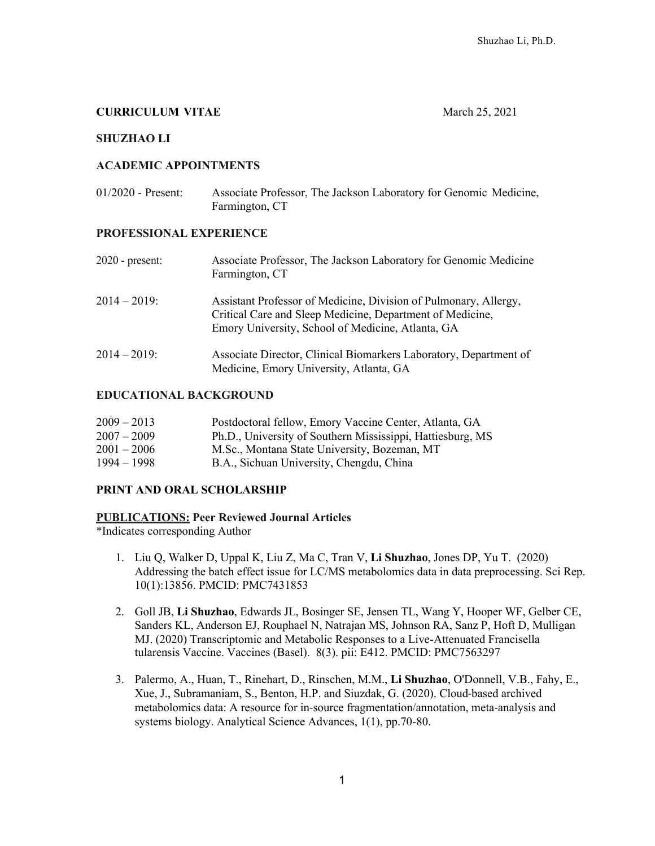### **CURRICULUM VITAE** March 25, 2021

### **SHUZHAO LI**

#### **ACADEMIC APPOINTMENTS**

| $01/2020$ - Present: | Associate Professor, The Jackson Laboratory for Genomic Medicine, |
|----------------------|-------------------------------------------------------------------|
|                      | Farmington, CT                                                    |

#### **PROFESSIONAL EXPERIENCE**

| Associate Professor, The Jackson Laboratory for Genomic Medicine<br>Farmington, CT                                                                                                 |
|------------------------------------------------------------------------------------------------------------------------------------------------------------------------------------|
| Assistant Professor of Medicine, Division of Pulmonary, Allergy,<br>Critical Care and Sleep Medicine, Department of Medicine,<br>Emory University, School of Medicine, Atlanta, GA |
| Associate Director, Clinical Biomarkers Laboratory, Department of<br>Medicine, Emory University, Atlanta, GA                                                                       |
|                                                                                                                                                                                    |

### **EDUCATIONAL BACKGROUND**

| $2009 - 2013$ | Postdoctoral fellow, Emory Vaccine Center, Atlanta, GA     |
|---------------|------------------------------------------------------------|
| $2007 - 2009$ | Ph.D., University of Southern Mississippi, Hattiesburg, MS |
| $2001 - 2006$ | M.Sc., Montana State University, Bozeman, MT               |
| $1994 - 1998$ | B.A., Sichuan University, Chengdu, China                   |

### **PRINT AND ORAL SCHOLARSHIP**

### **PUBLICATIONS: Peer Reviewed Journal Articles**

\*Indicates corresponding Author

- 1. Liu Q, Walker D, Uppal K, Liu Z, Ma C, Tran V, **Li Shuzhao**, Jones DP, Yu T. (2020) Addressing the batch effect issue for LC/MS metabolomics data in data preprocessing. Sci Rep. 10(1):13856. PMCID: PMC7431853
- 2. Goll JB, **Li Shuzhao**, Edwards JL, Bosinger SE, Jensen TL, Wang Y, Hooper WF, Gelber CE, Sanders KL, Anderson EJ, Rouphael N, Natrajan MS, Johnson RA, Sanz P, Hoft D, Mulligan MJ. (2020) Transcriptomic and Metabolic Responses to a Live-Attenuated Francisella tularensis Vaccine. Vaccines (Basel). 8(3). pii: E412. PMCID: PMC7563297
- 3. Palermo, A., Huan, T., Rinehart, D., Rinschen, M.M., **Li Shuzhao**, O'Donnell, V.B., Fahy, E., Xue, J., Subramaniam, S., Benton, H.P. and Siuzdak, G. (2020). Cloud-based archived metabolomics data: A resource for in-source fragmentation/annotation, meta-analysis and systems biology. Analytical Science Advances, 1(1), pp.70-80.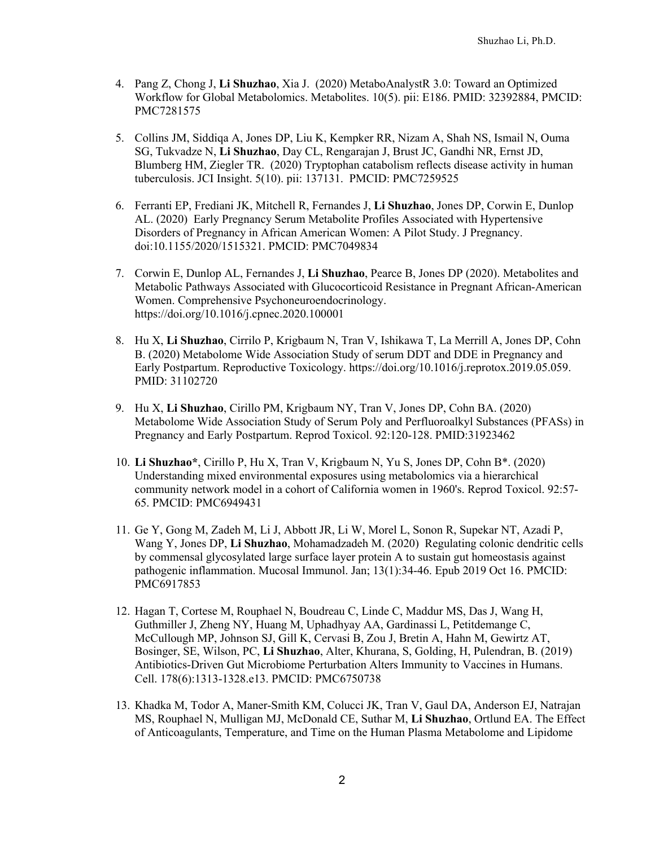- 4. Pang Z, Chong J, **Li Shuzhao**, Xia J. (2020) MetaboAnalystR 3.0: Toward an Optimized Workflow for Global Metabolomics. Metabolites. 10(5). pii: E186. PMID: 32392884, PMCID: PMC7281575
- 5. Collins JM, Siddiqa A, Jones DP, Liu K, Kempker RR, Nizam A, Shah NS, Ismail N, Ouma SG, Tukvadze N, **Li Shuzhao**, Day CL, Rengarajan J, Brust JC, Gandhi NR, Ernst JD, Blumberg HM, Ziegler TR. (2020) Tryptophan catabolism reflects disease activity in human tuberculosis. JCI Insight. 5(10). pii: 137131. PMCID: PMC7259525
- 6. Ferranti EP, Frediani JK, Mitchell R, Fernandes J, **Li Shuzhao**, Jones DP, Corwin E, Dunlop AL. (2020) Early Pregnancy Serum Metabolite Profiles Associated with Hypertensive Disorders of Pregnancy in African American Women: A Pilot Study. J Pregnancy. doi:10.1155/2020/1515321. PMCID: PMC7049834
- 7. Corwin E, Dunlop AL, Fernandes J, **Li Shuzhao**, Pearce B, Jones DP (2020). Metabolites and Metabolic Pathways Associated with Glucocorticoid Resistance in Pregnant African-American Women. Comprehensive Psychoneuroendocrinology. https://doi.org/10.1016/j.cpnec.2020.100001
- 8. Hu X, **Li Shuzhao**, Cirrilo P, Krigbaum N, Tran V, Ishikawa T, La Merrill A, Jones DP, Cohn B. (2020) Metabolome Wide Association Study of serum DDT and DDE in Pregnancy and Early Postpartum. Reproductive Toxicology. https://doi.org/10.1016/j.reprotox.2019.05.059. PMID: 31102720
- 9. Hu X, **Li Shuzhao**, Cirillo PM, Krigbaum NY, Tran V, Jones DP, Cohn BA. (2020) Metabolome Wide Association Study of Serum Poly and Perfluoroalkyl Substances (PFASs) in Pregnancy and Early Postpartum. Reprod Toxicol. 92:120-128. PMID:31923462
- 10. **Li Shuzhao\***, Cirillo P, Hu X, Tran V, Krigbaum N, Yu S, Jones DP, Cohn B\*. (2020) Understanding mixed environmental exposures using metabolomics via a hierarchical community network model in a cohort of California women in 1960's. Reprod Toxicol. 92:57- 65. PMCID: PMC6949431
- 11. Ge Y, Gong M, Zadeh M, Li J, Abbott JR, Li W, Morel L, Sonon R, Supekar NT, Azadi P, Wang Y, Jones DP, **Li Shuzhao**, Mohamadzadeh M. (2020) Regulating colonic dendritic cells by commensal glycosylated large surface layer protein A to sustain gut homeostasis against pathogenic inflammation. Mucosal Immunol. Jan; 13(1):34-46. Epub 2019 Oct 16. PMCID: PMC6917853
- 12. Hagan T, Cortese M, Rouphael N, Boudreau C, Linde C, Maddur MS, Das J, Wang H, Guthmiller J, Zheng NY, Huang M, Uphadhyay AA, Gardinassi L, Petitdemange C, McCullough MP, Johnson SJ, Gill K, Cervasi B, Zou J, Bretin A, Hahn M, Gewirtz AT, Bosinger, SE, Wilson, PC, **Li Shuzhao**, Alter, Khurana, S, Golding, H, Pulendran, B. (2019) Antibiotics-Driven Gut Microbiome Perturbation Alters Immunity to Vaccines in Humans. Cell. 178(6):1313-1328.e13. PMCID: PMC6750738
- 13. Khadka M, Todor A, Maner-Smith KM, Colucci JK, Tran V, Gaul DA, Anderson EJ, Natrajan MS, Rouphael N, Mulligan MJ, McDonald CE, Suthar M, **Li Shuzhao**, Ortlund EA. The Effect of Anticoagulants, Temperature, and Time on the Human Plasma Metabolome and Lipidome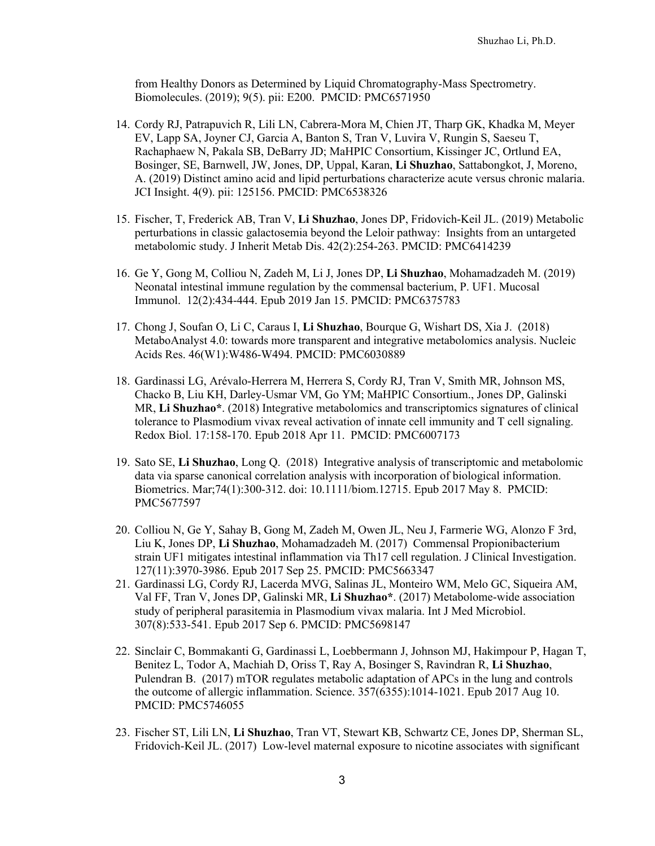from Healthy Donors as Determined by Liquid Chromatography-Mass Spectrometry. Biomolecules. (2019); 9(5). pii: E200. PMCID: PMC6571950

- 14. Cordy RJ, Patrapuvich R, Lili LN, Cabrera-Mora M, Chien JT, Tharp GK, Khadka M, Meyer EV, Lapp SA, Joyner CJ, Garcia A, Banton S, Tran V, Luvira V, Rungin S, Saeseu T, Rachaphaew N, Pakala SB, DeBarry JD; MaHPIC Consortium, Kissinger JC, Ortlund EA, Bosinger, SE, Barnwell, JW, Jones, DP, Uppal, Karan, **Li Shuzhao**, Sattabongkot, J, Moreno, A. (2019) Distinct amino acid and lipid perturbations characterize acute versus chronic malaria. JCI Insight. 4(9). pii: 125156. PMCID: PMC6538326
- 15. Fischer, T, Frederick AB, Tran V, **Li Shuzhao**, Jones DP, Fridovich-Keil JL. (2019) Metabolic perturbations in classic galactosemia beyond the Leloir pathway: Insights from an untargeted metabolomic study. J Inherit Metab Dis. 42(2):254-263. PMCID: PMC6414239
- 16. Ge Y, Gong M, Colliou N, Zadeh M, Li J, Jones DP, **Li Shuzhao**, Mohamadzadeh M. (2019) Neonatal intestinal immune regulation by the commensal bacterium, P. UF1. Mucosal Immunol. 12(2):434-444. Epub 2019 Jan 15. PMCID: PMC6375783
- 17. Chong J, Soufan O, Li C, Caraus I, **Li Shuzhao**, Bourque G, Wishart DS, Xia J. (2018) MetaboAnalyst 4.0: towards more transparent and integrative metabolomics analysis. Nucleic Acids Res. 46(W1):W486-W494. PMCID: PMC6030889
- 18. Gardinassi LG, Arévalo-Herrera M, Herrera S, Cordy RJ, Tran V, Smith MR, Johnson MS, Chacko B, Liu KH, Darley-Usmar VM, Go YM; MaHPIC Consortium., Jones DP, Galinski MR, **Li Shuzhao\***. (2018) Integrative metabolomics and transcriptomics signatures of clinical tolerance to Plasmodium vivax reveal activation of innate cell immunity and T cell signaling. Redox Biol. 17:158-170. Epub 2018 Apr 11. PMCID: PMC6007173
- 19. Sato SE, **Li Shuzhao**, Long Q. (2018) Integrative analysis of transcriptomic and metabolomic data via sparse canonical correlation analysis with incorporation of biological information. Biometrics. Mar;74(1):300-312. doi: 10.1111/biom.12715. Epub 2017 May 8. PMCID: PMC5677597
- 20. Colliou N, Ge Y, Sahay B, Gong M, Zadeh M, Owen JL, Neu J, Farmerie WG, Alonzo F 3rd, Liu K, Jones DP, **Li Shuzhao**, Mohamadzadeh M. (2017) Commensal Propionibacterium strain UF1 mitigates intestinal inflammation via Th17 cell regulation. J Clinical Investigation. 127(11):3970-3986. Epub 2017 Sep 25. PMCID: PMC5663347
- 21. Gardinassi LG, Cordy RJ, Lacerda MVG, Salinas JL, Monteiro WM, Melo GC, Siqueira AM, Val FF, Tran V, Jones DP, Galinski MR, **Li Shuzhao\***. (2017) Metabolome-wide association study of peripheral parasitemia in Plasmodium vivax malaria. Int J Med Microbiol. 307(8):533-541. Epub 2017 Sep 6. PMCID: PMC5698147
- 22. Sinclair C, Bommakanti G, Gardinassi L, Loebbermann J, Johnson MJ, Hakimpour P, Hagan T, Benitez L, Todor A, Machiah D, Oriss T, Ray A, Bosinger S, Ravindran R, **Li Shuzhao**, Pulendran B. (2017) mTOR regulates metabolic adaptation of APCs in the lung and controls the outcome of allergic inflammation. Science. 357(6355):1014-1021. Epub 2017 Aug 10. PMCID: PMC5746055
- 23. Fischer ST, Lili LN, **Li Shuzhao**, Tran VT, Stewart KB, Schwartz CE, Jones DP, Sherman SL, Fridovich-Keil JL. (2017) Low-level maternal exposure to nicotine associates with significant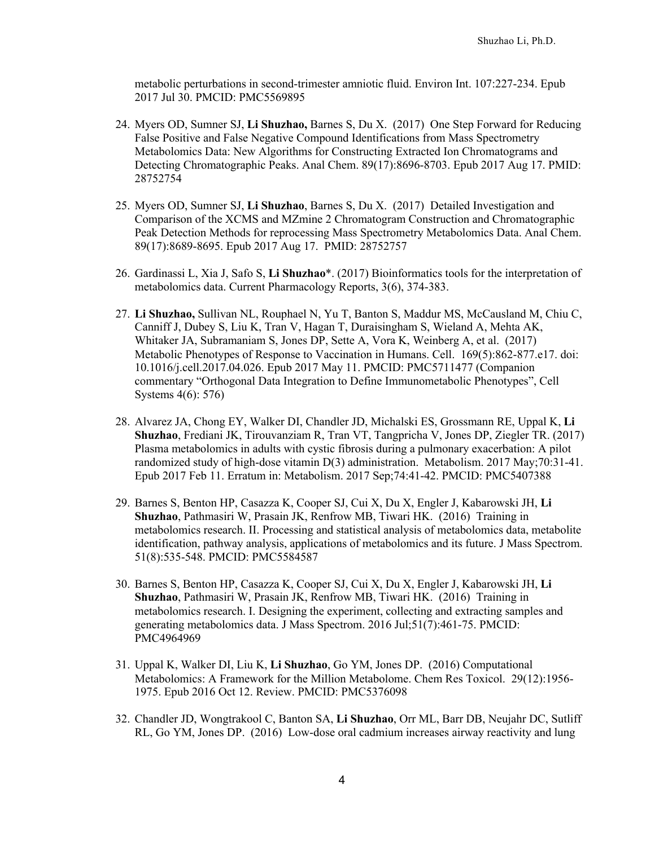metabolic perturbations in second-trimester amniotic fluid. Environ Int. 107:227-234. Epub 2017 Jul 30. PMCID: PMC5569895

- 24. Myers OD, Sumner SJ, **Li Shuzhao,** Barnes S, Du X. (2017) One Step Forward for Reducing False Positive and False Negative Compound Identifications from Mass Spectrometry Metabolomics Data: New Algorithms for Constructing Extracted Ion Chromatograms and Detecting Chromatographic Peaks. Anal Chem. 89(17):8696-8703. Epub 2017 Aug 17. PMID: 28752754
- 25. Myers OD, Sumner SJ, **Li Shuzhao**, Barnes S, Du X. (2017) Detailed Investigation and Comparison of the XCMS and MZmine 2 Chromatogram Construction and Chromatographic Peak Detection Methods for reprocessing Mass Spectrometry Metabolomics Data. Anal Chem. 89(17):8689-8695. Epub 2017 Aug 17. PMID: 28752757
- 26. Gardinassi L, Xia J, Safo S, **Li Shuzhao**\*. (2017) Bioinformatics tools for the interpretation of metabolomics data. Current Pharmacology Reports, 3(6), 374-383.
- 27. **Li Shuzhao,** Sullivan NL, Rouphael N, Yu T, Banton S, Maddur MS, McCausland M, Chiu C, Canniff J, Dubey S, Liu K, Tran V, Hagan T, Duraisingham S, Wieland A, Mehta AK, Whitaker JA, Subramaniam S, Jones DP, Sette A, Vora K, Weinberg A, et al. (2017) Metabolic Phenotypes of Response to Vaccination in Humans. Cell. 169(5):862-877.e17. doi: 10.1016/j.cell.2017.04.026. Epub 2017 May 11. PMCID: PMC5711477 (Companion commentary "Orthogonal Data Integration to Define Immunometabolic Phenotypes", Cell Systems 4(6): 576)
- 28. Alvarez JA, Chong EY, Walker DI, Chandler JD, Michalski ES, Grossmann RE, Uppal K, **Li Shuzhao**, Frediani JK, Tirouvanziam R, Tran VT, Tangpricha V, Jones DP, Ziegler TR. (2017) Plasma metabolomics in adults with cystic fibrosis during a pulmonary exacerbation: A pilot randomized study of high-dose vitamin D(3) administration. Metabolism. 2017 May;70:31-41. Epub 2017 Feb 11. Erratum in: Metabolism. 2017 Sep;74:41-42. PMCID: PMC5407388
- 29. Barnes S, Benton HP, Casazza K, Cooper SJ, Cui X, Du X, Engler J, Kabarowski JH, **Li Shuzhao**, Pathmasiri W, Prasain JK, Renfrow MB, Tiwari HK. (2016) Training in metabolomics research. II. Processing and statistical analysis of metabolomics data, metabolite identification, pathway analysis, applications of metabolomics and its future. J Mass Spectrom. 51(8):535-548. PMCID: PMC5584587
- 30. Barnes S, Benton HP, Casazza K, Cooper SJ, Cui X, Du X, Engler J, Kabarowski JH, **Li Shuzhao**, Pathmasiri W, Prasain JK, Renfrow MB, Tiwari HK. (2016) Training in metabolomics research. I. Designing the experiment, collecting and extracting samples and generating metabolomics data. J Mass Spectrom. 2016 Jul;51(7):461-75. PMCID: PMC4964969
- 31. Uppal K, Walker DI, Liu K, **Li Shuzhao**, Go YM, Jones DP. (2016) Computational Metabolomics: A Framework for the Million Metabolome. Chem Res Toxicol. 29(12):1956- 1975. Epub 2016 Oct 12. Review. PMCID: PMC5376098
- 32. Chandler JD, Wongtrakool C, Banton SA, **Li Shuzhao**, Orr ML, Barr DB, Neujahr DC, Sutliff RL, Go YM, Jones DP. (2016) Low-dose oral cadmium increases airway reactivity and lung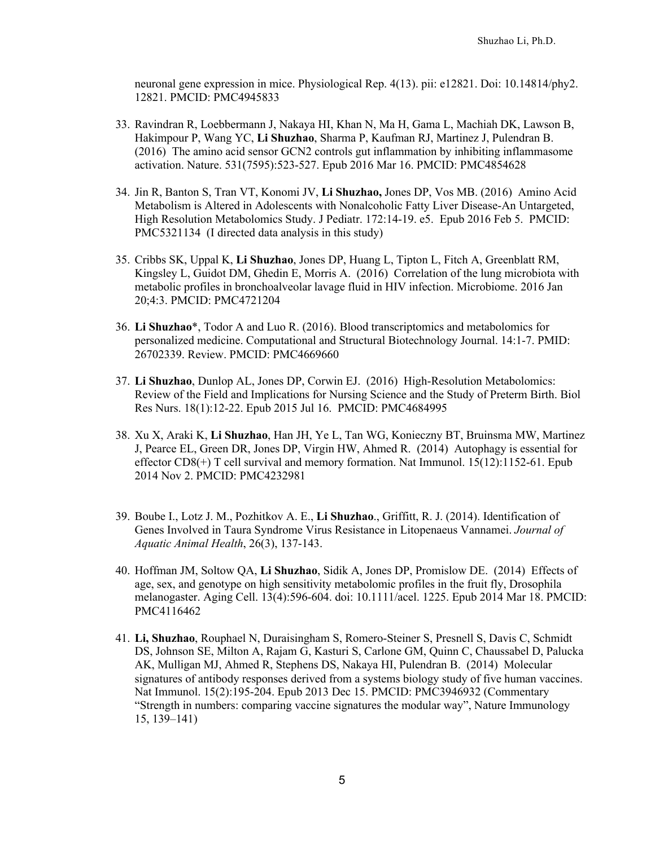neuronal gene expression in mice. Physiological Rep. 4(13). pii: e12821. Doi: 10.14814/phy2. 12821. PMCID: PMC4945833

- 33. Ravindran R, Loebbermann J, Nakaya HI, Khan N, Ma H, Gama L, Machiah DK, Lawson B, Hakimpour P, Wang YC, **Li Shuzhao**, Sharma P, Kaufman RJ, Martinez J, Pulendran B. (2016) The amino acid sensor GCN2 controls gut inflammation by inhibiting inflammasome activation. Nature. 531(7595):523-527. Epub 2016 Mar 16. PMCID: PMC4854628
- 34. Jin R, Banton S, Tran VT, Konomi JV, **Li Shuzhao,** Jones DP, Vos MB. (2016) Amino Acid Metabolism is Altered in Adolescents with Nonalcoholic Fatty Liver Disease-An Untargeted, High Resolution Metabolomics Study. J Pediatr. 172:14-19. e5. Epub 2016 Feb 5. PMCID: PMC5321134 (I directed data analysis in this study)
- 35. Cribbs SK, Uppal K, **Li Shuzhao**, Jones DP, Huang L, Tipton L, Fitch A, Greenblatt RM, Kingsley L, Guidot DM, Ghedin E, Morris A. (2016) Correlation of the lung microbiota with metabolic profiles in bronchoalveolar lavage fluid in HIV infection. Microbiome. 2016 Jan 20;4:3. PMCID: PMC4721204
- 36. **Li Shuzhao**\*, Todor A and Luo R. (2016). Blood transcriptomics and metabolomics for personalized medicine. Computational and Structural Biotechnology Journal. 14:1-7. PMID: 26702339. Review. PMCID: PMC4669660
- 37. **Li Shuzhao**, Dunlop AL, Jones DP, Corwin EJ. (2016) High-Resolution Metabolomics: Review of the Field and Implications for Nursing Science and the Study of Preterm Birth. Biol Res Nurs. 18(1):12-22. Epub 2015 Jul 16. PMCID: PMC4684995
- 38. Xu X, Araki K, **Li Shuzhao**, Han JH, Ye L, Tan WG, Konieczny BT, Bruinsma MW, Martinez J, Pearce EL, Green DR, Jones DP, Virgin HW, Ahmed R. (2014) Autophagy is essential for effector  $CD8(+)$  T cell survival and memory formation. Nat Immunol.  $15(12):1152-61$ . Epub 2014 Nov 2. PMCID: PMC4232981
- 39. Boube I., Lotz J. M., Pozhitkov A. E., **Li Shuzhao**., Griffitt, R. J. (2014). Identification of Genes Involved in Taura Syndrome Virus Resistance in Litopenaeus Vannamei. *Journal of Aquatic Animal Health*, 26(3), 137-143.
- 40. Hoffman JM, Soltow QA, **Li Shuzhao**, Sidik A, Jones DP, Promislow DE. (2014) Effects of age, sex, and genotype on high sensitivity metabolomic profiles in the fruit fly, Drosophila melanogaster. Aging Cell. 13(4):596-604. doi: 10.1111/acel. 1225. Epub 2014 Mar 18. PMCID: PMC4116462
- 41. **Li, Shuzhao**, Rouphael N, Duraisingham S, Romero-Steiner S, Presnell S, Davis C, Schmidt DS, Johnson SE, Milton A, Rajam G, Kasturi S, Carlone GM, Quinn C, Chaussabel D, Palucka AK, Mulligan MJ, Ahmed R, Stephens DS, Nakaya HI, Pulendran B. (2014) Molecular signatures of antibody responses derived from a systems biology study of five human vaccines. Nat Immunol. 15(2):195-204. Epub 2013 Dec 15. PMCID: PMC3946932 (Commentary "Strength in numbers: comparing vaccine signatures the modular way", Nature Immunology 15, 139–141)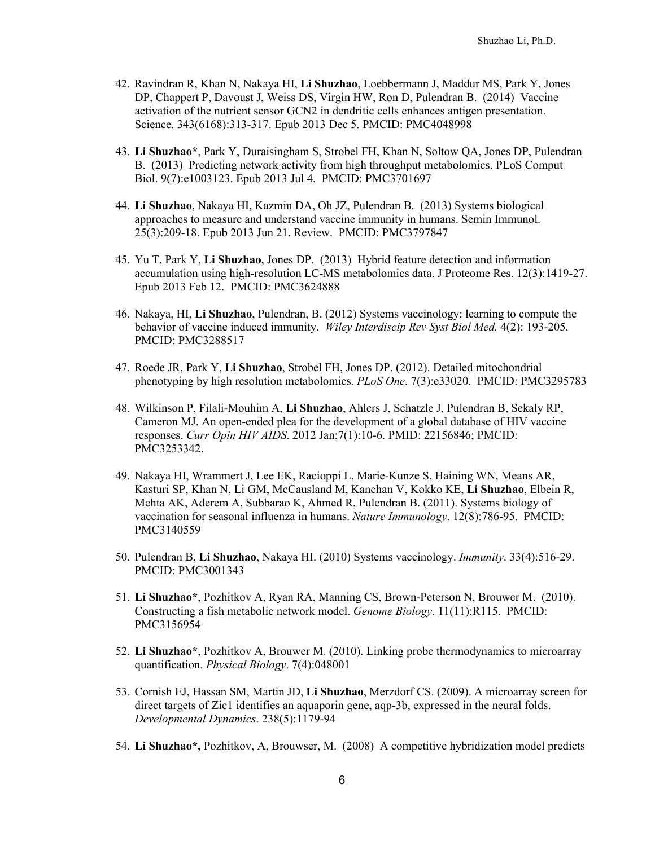- 42. Ravindran R, Khan N, Nakaya HI, **Li Shuzhao**, Loebbermann J, Maddur MS, Park Y, Jones DP, Chappert P, Davoust J, Weiss DS, Virgin HW, Ron D, Pulendran B. (2014) Vaccine activation of the nutrient sensor GCN2 in dendritic cells enhances antigen presentation. Science. 343(6168):313-317. Epub 2013 Dec 5. PMCID: PMC4048998
- 43. **Li Shuzhao\***, Park Y, Duraisingham S, Strobel FH, Khan N, Soltow QA, Jones DP, Pulendran B. (2013) Predicting network activity from high throughput metabolomics. PLoS Comput Biol. 9(7):e1003123. Epub 2013 Jul 4. PMCID: PMC3701697
- 44. **Li Shuzhao**, Nakaya HI, Kazmin DA, Oh JZ, Pulendran B. (2013) Systems biological approaches to measure and understand vaccine immunity in humans. Semin Immunol. 25(3):209-18. Epub 2013 Jun 21. Review. PMCID: PMC3797847
- 45. Yu T, Park Y, **Li Shuzhao**, Jones DP. (2013) Hybrid feature detection and information accumulation using high-resolution LC-MS metabolomics data. J Proteome Res. 12(3):1419-27. Epub 2013 Feb 12. PMCID: PMC3624888
- 46. Nakaya, HI, **Li Shuzhao**, Pulendran, B. (2012) Systems vaccinology: learning to compute the behavior of vaccine induced immunity. *Wiley Interdiscip Rev Syst Biol Med.* 4(2): 193-205. PMCID: PMC3288517
- 47. Roede JR, Park Y, **Li Shuzhao**, Strobel FH, Jones DP. (2012). Detailed mitochondrial phenotyping by high resolution metabolomics. *PLoS One*. 7(3):e33020. PMCID: PMC3295783
- 48. Wilkinson P, Filali-Mouhim A, **Li Shuzhao**, Ahlers J, Schatzle J, Pulendran B, Sekaly RP, Cameron MJ. An open-ended plea for the development of a global database of HIV vaccine responses. *Curr Opin HIV AIDS*. 2012 Jan;7(1):10-6. PMID: 22156846; PMCID: PMC3253342.
- 49. Nakaya HI, Wrammert J, Lee EK, Racioppi L, Marie-Kunze S, Haining WN, Means AR, Kasturi SP, Khan N, Li GM, McCausland M, Kanchan V, Kokko KE, **Li Shuzhao**, Elbein R, Mehta AK, Aderem A, Subbarao K, Ahmed R, Pulendran B. (2011). Systems biology of vaccination for seasonal influenza in humans. *Nature Immunology*. 12(8):786-95. PMCID: PMC3140559
- 50. Pulendran B, **Li Shuzhao**, Nakaya HI. (2010) Systems vaccinology. *Immunity*. 33(4):516-29. PMCID: PMC3001343
- 51. **Li Shuzhao\***, Pozhitkov A, Ryan RA, Manning CS, Brown-Peterson N, Brouwer M. (2010). Constructing a fish metabolic network model. *Genome Biology*. 11(11):R115. PMCID: PMC3156954
- 52. **Li Shuzhao\***, Pozhitkov A, Brouwer M. (2010). Linking probe thermodynamics to microarray quantification. *Physical Biology*. 7(4):048001
- 53. Cornish EJ, Hassan SM, Martin JD, **Li Shuzhao**, Merzdorf CS. (2009). A microarray screen for direct targets of Zic1 identifies an aquaporin gene, aqp-3b, expressed in the neural folds. *Developmental Dynamics*. 238(5):1179-94
- 54. **Li Shuzhao\*,** Pozhitkov, A, Brouwser, M. (2008) A competitive hybridization model predicts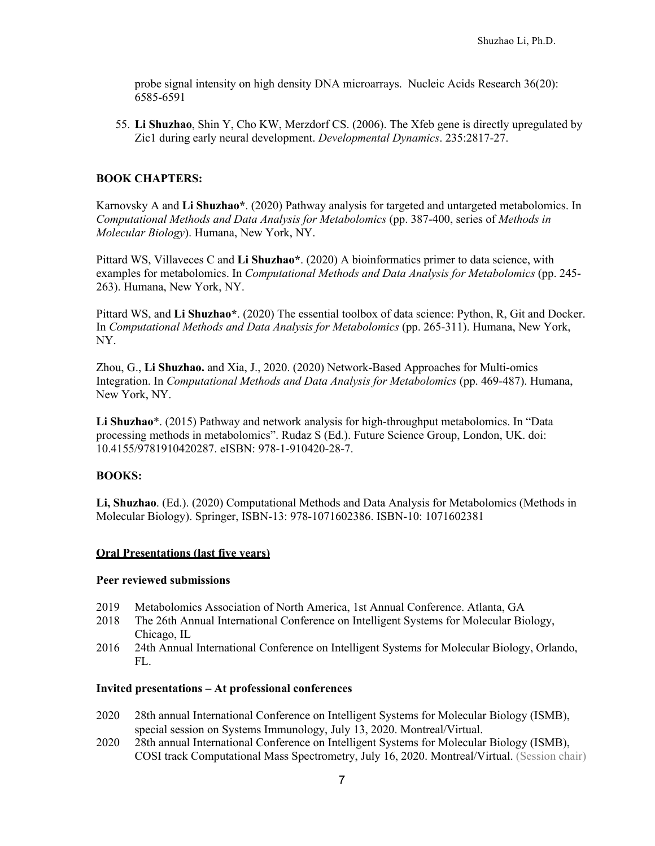probe signal intensity on high density DNA microarrays. Nucleic Acids Research 36(20): 6585-6591

55. **Li Shuzhao**, Shin Y, Cho KW, Merzdorf CS. (2006). The Xfeb gene is directly upregulated by Zic1 during early neural development. *Developmental Dynamics*. 235:2817-27.

### **BOOK CHAPTERS:**

Karnovsky A and **Li Shuzhao\***. (2020) Pathway analysis for targeted and untargeted metabolomics. In *Computational Methods and Data Analysis for Metabolomics* (pp. 387-400, series of *Methods in Molecular Biology*). Humana, New York, NY.

Pittard WS, Villaveces C and **Li Shuzhao\***. (2020) A bioinformatics primer to data science, with examples for metabolomics. In *Computational Methods and Data Analysis for Metabolomics* (pp. 245- 263). Humana, New York, NY.

Pittard WS, and **Li Shuzhao\***. (2020) The essential toolbox of data science: Python, R, Git and Docker. In *Computational Methods and Data Analysis for Metabolomics* (pp. 265-311). Humana, New York, NY.

Zhou, G., **Li Shuzhao.** and Xia, J., 2020. (2020) Network-Based Approaches for Multi-omics Integration. In *Computational Methods and Data Analysis for Metabolomics* (pp. 469-487). Humana, New York, NY.

**Li Shuzhao**\*. (2015) Pathway and network analysis for high-throughput metabolomics. In "Data processing methods in metabolomics". Rudaz S (Ed.). Future Science Group, London, UK. doi: 10.4155/9781910420287. eISBN: 978-1-910420-28-7.

#### **BOOKS:**

**Li, Shuzhao**. (Ed.). (2020) Computational Methods and Data Analysis for Metabolomics (Methods in Molecular Biology). Springer, ISBN-13: 978-1071602386. ISBN-10: 1071602381

#### **Oral Presentations (last five years)**

#### **Peer reviewed submissions**

- 2019 Metabolomics Association of North America, 1st Annual Conference. Atlanta, GA
- 2018 The 26th Annual International Conference on Intelligent Systems for Molecular Biology, Chicago, IL
- 2016 24th Annual International Conference on Intelligent Systems for Molecular Biology, Orlando, FL.

#### **Invited presentations – At professional conferences**

- 2020 28th annual International Conference on Intelligent Systems for Molecular Biology (ISMB), special session on Systems Immunology, July 13, 2020. Montreal/Virtual.
- 2020 28th annual International Conference on Intelligent Systems for Molecular Biology (ISMB), COSI track Computational Mass Spectrometry, July 16, 2020. Montreal/Virtual. (Session chair)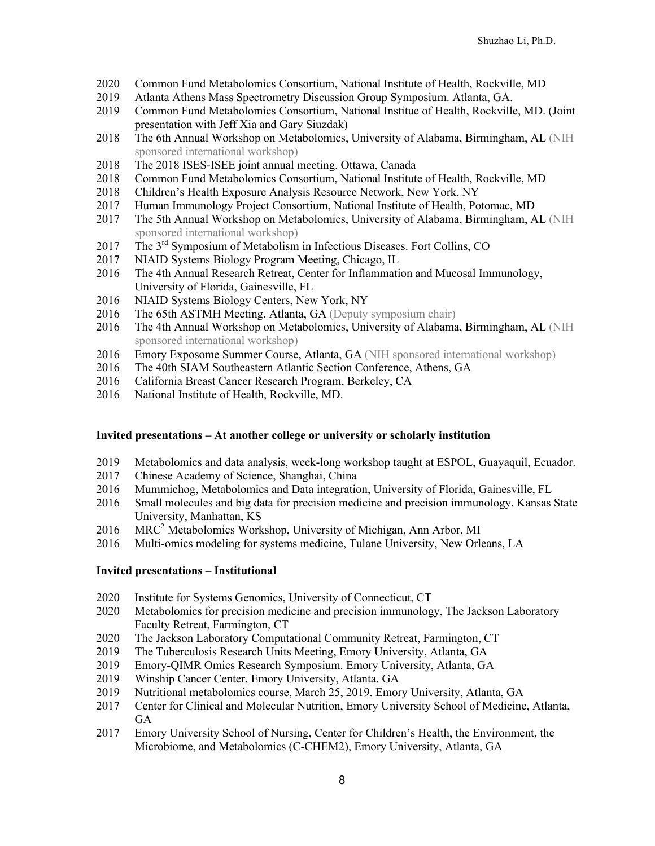- Common Fund Metabolomics Consortium, National Institute of Health, Rockville, MD
- Atlanta Athens Mass Spectrometry Discussion Group Symposium. Atlanta, GA.
- Common Fund Metabolomics Consortium, National Institue of Health, Rockville, MD. (Joint presentation with Jeff Xia and Gary Siuzdak)
- The 6th Annual Workshop on Metabolomics, University of Alabama, Birmingham, AL (NIH sponsored international workshop)
- The 2018 ISES-ISEE joint annual meeting. Ottawa, Canada
- Common Fund Metabolomics Consortium, National Institute of Health, Rockville, MD
- Children's Health Exposure Analysis Resource Network, New York, NY
- Human Immunology Project Consortium, National Institute of Health, Potomac, MD
- The 5th Annual Workshop on Metabolomics, University of Alabama, Birmingham, AL (NIH sponsored international workshop)
- 2017 The 3<sup>rd</sup> Symposium of Metabolism in Infectious Diseases. Fort Collins, CO
- NIAID Systems Biology Program Meeting, Chicago, IL
- The 4th Annual Research Retreat, Center for Inflammation and Mucosal Immunology, University of Florida, Gainesville, FL
- NIAID Systems Biology Centers, New York, NY
- 2016 The 65th ASTMH Meeting, Atlanta, GA (Deputy symposium chair)
- The 4th Annual Workshop on Metabolomics, University of Alabama, Birmingham, AL (NIH sponsored international workshop)
- Emory Exposome Summer Course, Atlanta, GA (NIH sponsored international workshop)
- The 40th SIAM Southeastern Atlantic Section Conference, Athens, GA
- California Breast Cancer Research Program, Berkeley, CA
- National Institute of Health, Rockville, MD.

### **Invited presentations – At another college or university or scholarly institution**

- Metabolomics and data analysis, week-long workshop taught at ESPOL, Guayaquil, Ecuador.
- Chinese Academy of Science, Shanghai, China
- Mummichog, Metabolomics and Data integration, University of Florida, Gainesville, FL
- Small molecules and big data for precision medicine and precision immunology, Kansas State University, Manhattan, KS
- MRC2 Metabolomics Workshop, University of Michigan, Ann Arbor, MI
- Multi-omics modeling for systems medicine, Tulane University, New Orleans, LA

### **Invited presentations – Institutional**

- Institute for Systems Genomics, University of Connecticut, CT
- Metabolomics for precision medicine and precision immunology, The Jackson Laboratory Faculty Retreat, Farmington, CT
- The Jackson Laboratory Computational Community Retreat, Farmington, CT
- The Tuberculosis Research Units Meeting, Emory University, Atlanta, GA
- Emory-QIMR Omics Research Symposium. Emory University, Atlanta, GA
- Winship Cancer Center, Emory University, Atlanta, GA
- Nutritional metabolomics course, March 25, 2019. Emory University, Atlanta, GA
- Center for Clinical and Molecular Nutrition, Emory University School of Medicine, Atlanta, GA
- Emory University School of Nursing, Center for Children's Health, the Environment, the Microbiome, and Metabolomics (C-CHEM2), Emory University, Atlanta, GA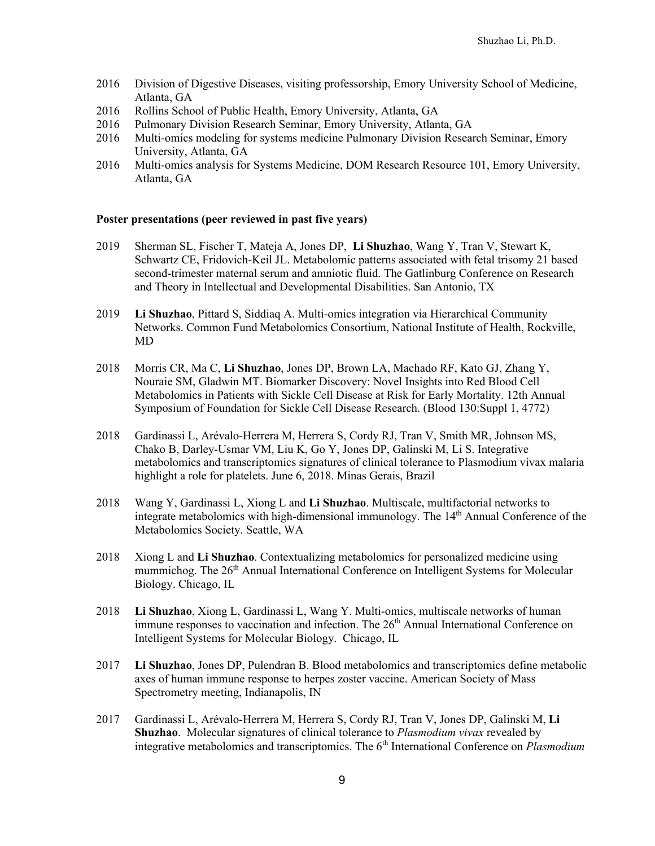- 2016 Division of Digestive Diseases, visiting professorship, Emory University School of Medicine, Atlanta, GA
- 2016 Rollins School of Public Health, Emory University, Atlanta, GA
- 2016 Pulmonary Division Research Seminar, Emory University, Atlanta, GA
- 2016 Multi-omics modeling for systems medicine Pulmonary Division Research Seminar, Emory University, Atlanta, GA
- 2016 Multi-omics analysis for Systems Medicine, DOM Research Resource 101, Emory University, Atlanta, GA

#### **Poster presentations (peer reviewed in past five years)**

- 2019 Sherman SL, Fischer T, Mateja A, Jones DP, **Li Shuzhao**, Wang Y, Tran V, Stewart K, Schwartz CE, Fridovich-Keil JL. Metabolomic patterns associated with fetal trisomy 21 based second-trimester maternal serum and amniotic fluid. The Gatlinburg Conference on Research and Theory in Intellectual and Developmental Disabilities. San Antonio, TX
- 2019 **Li Shuzhao**, Pittard S, Siddiaq A. Multi-omics integration via Hierarchical Community Networks. Common Fund Metabolomics Consortium, National Institute of Health, Rockville, MD
- 2018 Morris CR, Ma C, **Li Shuzhao**, Jones DP, Brown LA, Machado RF, Kato GJ, Zhang Y, Nouraie SM, Gladwin MT. Biomarker Discovery: Novel Insights into Red Blood Cell Metabolomics in Patients with Sickle Cell Disease at Risk for Early Mortality. 12th Annual Symposium of Foundation for Sickle Cell Disease Research. (Blood 130:Suppl 1, 4772)
- 2018 Gardinassi L, Arévalo-Herrera M, Herrera S, Cordy RJ, Tran V, Smith MR, Johnson MS, Chako B, Darley-Usmar VM, Liu K, Go Y, Jones DP, Galinski M, Li S. Integrative metabolomics and transcriptomics signatures of clinical tolerance to Plasmodium vivax malaria highlight a role for platelets. June 6, 2018. Minas Gerais, Brazil
- 2018 Wang Y, Gardinassi L, Xiong L and **Li Shuzhao**. Multiscale, multifactorial networks to integrate metabolomics with high-dimensional immunology. The  $14<sup>th</sup>$  Annual Conference of the Metabolomics Society. Seattle, WA
- 2018 Xiong L and **Li Shuzhao**. Contextualizing metabolomics for personalized medicine using mummichog. The 26<sup>th</sup> Annual International Conference on Intelligent Systems for Molecular Biology. Chicago, IL
- 2018 **Li Shuzhao**, Xiong L, Gardinassi L, Wang Y. Multi-omics, multiscale networks of human immune responses to vaccination and infection. The  $26<sup>th</sup>$  Annual International Conference on Intelligent Systems for Molecular Biology. Chicago, IL
- 2017 **Li Shuzhao**, Jones DP, Pulendran B. Blood metabolomics and transcriptomics define metabolic axes of human immune response to herpes zoster vaccine. American Society of Mass Spectrometry meeting, Indianapolis, IN
- 2017 Gardinassi L, Arévalo-Herrera M, Herrera S, Cordy RJ, Tran V, Jones DP, Galinski M, **Li Shuzhao**. Molecular signatures of clinical tolerance to *Plasmodium vivax* revealed by integrative metabolomics and transcriptomics. The 6<sup>th</sup> International Conference on *Plasmodium*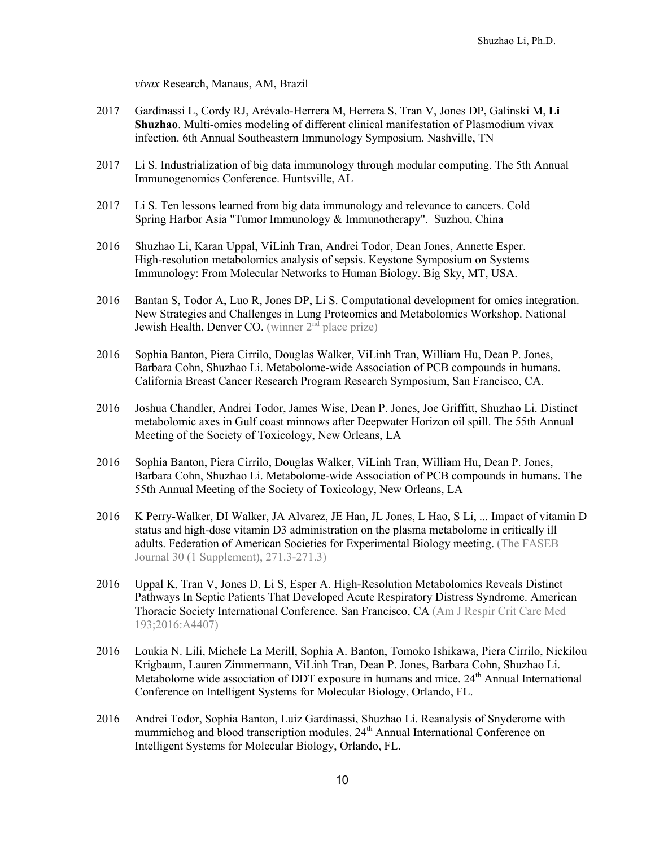*vivax* Research, Manaus, AM, Brazil

- 2017 Gardinassi L, Cordy RJ, Arévalo-Herrera M, Herrera S, Tran V, Jones DP, Galinski M, **Li Shuzhao**. Multi-omics modeling of different clinical manifestation of Plasmodium vivax infection. 6th Annual Southeastern Immunology Symposium. Nashville, TN
- 2017 Li S. Industrialization of big data immunology through modular computing. The 5th Annual Immunogenomics Conference. Huntsville, AL
- 2017 Li S. Ten lessons learned from big data immunology and relevance to cancers. Cold Spring Harbor Asia "Tumor Immunology & Immunotherapy". Suzhou, China
- 2016 Shuzhao Li, Karan Uppal, ViLinh Tran, Andrei Todor, Dean Jones, Annette Esper. High-resolution metabolomics analysis of sepsis. Keystone Symposium on Systems Immunology: From Molecular Networks to Human Biology. Big Sky, MT, USA.
- 2016 Bantan S, Todor A, Luo R, Jones DP, Li S. Computational development for omics integration. New Strategies and Challenges in Lung Proteomics and Metabolomics Workshop. National Jewish Health, Denver CO. (winner  $2<sup>n</sup>$  place prize)
- 2016 Sophia Banton, Piera Cirrilo, Douglas Walker, ViLinh Tran, William Hu, Dean P. Jones, Barbara Cohn, Shuzhao Li. Metabolome-wide Association of PCB compounds in humans. California Breast Cancer Research Program Research Symposium, San Francisco, CA.
- 2016 Joshua Chandler, Andrei Todor, James Wise, Dean P. Jones, Joe Griffitt, Shuzhao Li. Distinct metabolomic axes in Gulf coast minnows after Deepwater Horizon oil spill. The 55th Annual Meeting of the Society of Toxicology, New Orleans, LA
- 2016 Sophia Banton, Piera Cirrilo, Douglas Walker, ViLinh Tran, William Hu, Dean P. Jones, Barbara Cohn, Shuzhao Li. Metabolome-wide Association of PCB compounds in humans. The 55th Annual Meeting of the Society of Toxicology, New Orleans, LA
- 2016 K Perry-Walker, DI Walker, JA Alvarez, JE Han, JL Jones, L Hao, S Li, ... Impact of vitamin D status and high-dose vitamin D3 administration on the plasma metabolome in critically ill adults. Federation of American Societies for Experimental Biology meeting. (The FASEB Journal 30 (1 Supplement), 271.3-271.3)
- 2016 Uppal K, Tran V, Jones D, Li S, Esper A. High-Resolution Metabolomics Reveals Distinct Pathways In Septic Patients That Developed Acute Respiratory Distress Syndrome. American Thoracic Society International Conference. San Francisco, CA (Am J Respir Crit Care Med 193;2016:A4407)
- 2016 Loukia N. Lili, Michele La Merill, Sophia A. Banton, Tomoko Ishikawa, Piera Cirrilo, Nickilou Krigbaum, Lauren Zimmermann, ViLinh Tran, Dean P. Jones, Barbara Cohn, Shuzhao Li. Metabolome wide association of DDT exposure in humans and mice. 24<sup>th</sup> Annual International Conference on Intelligent Systems for Molecular Biology, Orlando, FL.
- 2016 Andrei Todor, Sophia Banton, Luiz Gardinassi, Shuzhao Li. Reanalysis of Snyderome with mummichog and blood transcription modules. 24<sup>th</sup> Annual International Conference on Intelligent Systems for Molecular Biology, Orlando, FL.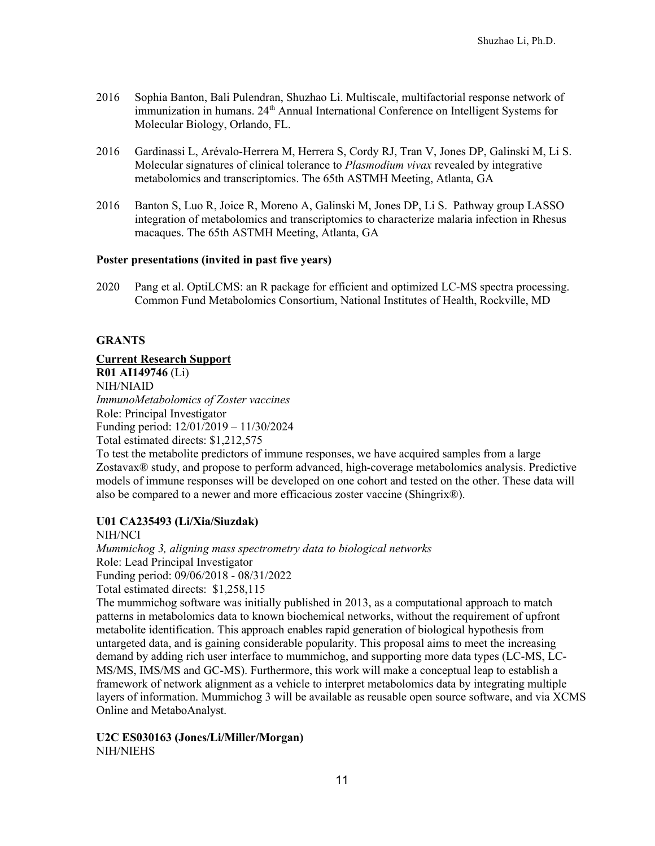- 2016 Sophia Banton, Bali Pulendran, Shuzhao Li. Multiscale, multifactorial response network of immunization in humans. 24<sup>th</sup> Annual International Conference on Intelligent Systems for Molecular Biology, Orlando, FL.
- 2016 Gardinassi L, Arévalo-Herrera M, Herrera S, Cordy RJ, Tran V, Jones DP, Galinski M, Li S. Molecular signatures of clinical tolerance to *Plasmodium vivax* revealed by integrative metabolomics and transcriptomics. The 65th ASTMH Meeting, Atlanta, GA
- 2016 Banton S, Luo R, Joice R, Moreno A, Galinski M, Jones DP, Li S. Pathway group LASSO integration of metabolomics and transcriptomics to characterize malaria infection in Rhesus macaques. The 65th ASTMH Meeting, Atlanta, GA

# **Poster presentations (invited in past five years)**

2020 Pang et al. OptiLCMS: an R package for efficient and optimized LC-MS spectra processing. Common Fund Metabolomics Consortium, National Institutes of Health, Rockville, MD

# **GRANTS**

**Current Research Support R01 AI149746** (Li) NIH/NIAID *ImmunoMetabolomics of Zoster vaccines*  Role: Principal Investigator Funding period: 12/01/2019 – 11/30/2024 Total estimated directs: \$1,212,575

To test the metabolite predictors of immune responses, we have acquired samples from a large Zostavax® study, and propose to perform advanced, high-coverage metabolomics analysis. Predictive models of immune responses will be developed on one cohort and tested on the other. These data will also be compared to a newer and more efficacious zoster vaccine (Shingrix®).

# **U01 CA235493 (Li/Xia/Siuzdak)**

NIH/NCI *Mummichog 3, aligning mass spectrometry data to biological networks* Role: Lead Principal Investigator Funding period: 09/06/2018 - 08/31/2022 Total estimated directs: \$1,258,115 The mummichog software was initially published in 2013, as a computational approach to match patterns in metabolomics data to known biochemical networks, without the requirement of upfront metabolite identification. This approach enables rapid generation of biological hypothesis from untargeted data, and is gaining considerable popularity. This proposal aims to meet the increasing demand by adding rich user interface to mummichog, and supporting more data types (LC-MS, LC-MS/MS, IMS/MS and GC-MS). Furthermore, this work will make a conceptual leap to establish a framework of network alignment as a vehicle to interpret metabolomics data by integrating multiple layers of information. Mummichog 3 will be available as reusable open source software, and via XCMS

Online and MetaboAnalyst.

**U2C ES030163 (Jones/Li/Miller/Morgan)** NIH/NIEHS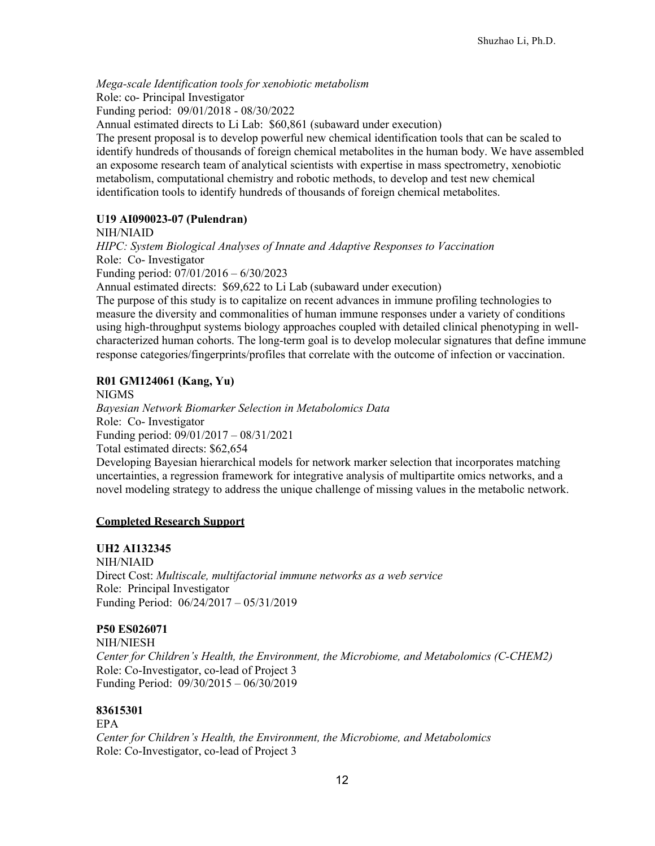*Mega-scale Identification tools for xenobiotic metabolism*

Role: co- Principal Investigator

Funding period: 09/01/2018 - 08/30/2022

Annual estimated directs to Li Lab: \$60,861 (subaward under execution)

The present proposal is to develop powerful new chemical identification tools that can be scaled to identify hundreds of thousands of foreign chemical metabolites in the human body. We have assembled an exposome research team of analytical scientists with expertise in mass spectrometry, xenobiotic metabolism, computational chemistry and robotic methods, to develop and test new chemical identification tools to identify hundreds of thousands of foreign chemical metabolites.

# **U19 AI090023-07 (Pulendran)**

NIH/NIAID

*HIPC: System Biological Analyses of Innate and Adaptive Responses to Vaccination* Role: Co- Investigator

Funding period: 07/01/2016 – 6/30/2023

Annual estimated directs: \$69,622 to Li Lab (subaward under execution)

The purpose of this study is to capitalize on recent advances in immune profiling technologies to measure the diversity and commonalities of human immune responses under a variety of conditions using high-throughput systems biology approaches coupled with detailed clinical phenotyping in wellcharacterized human cohorts. The long-term goal is to develop molecular signatures that define immune response categories/fingerprints/profiles that correlate with the outcome of infection or vaccination.

# **R01 GM124061 (Kang, Yu)**

NIGMS *Bayesian Network Biomarker Selection in Metabolomics Data* Role: Co- Investigator Funding period: 09/01/2017 – 08/31/2021 Total estimated directs: \$62,654 Developing Bayesian hierarchical models for network marker selection that incorporates matching uncertainties, a regression framework for integrative analysis of multipartite omics networks, and a novel modeling strategy to address the unique challenge of missing values in the metabolic network.

#### **Completed Research Support**

# **UH2 AI132345**

NIH/NIAID Direct Cost: *Multiscale, multifactorial immune networks as a web service* Role: Principal Investigator Funding Period: 06/24/2017 – 05/31/2019

# **P50 ES026071**

NIH/NIESH *Center for Children's Health, the Environment, the Microbiome, and Metabolomics (C-CHEM2)* Role: Co-Investigator, co-lead of Project 3 Funding Period: 09/30/2015 – 06/30/2019

# **83615301**

EPA *Center for Children's Health, the Environment, the Microbiome, and Metabolomics* Role: Co-Investigator, co-lead of Project 3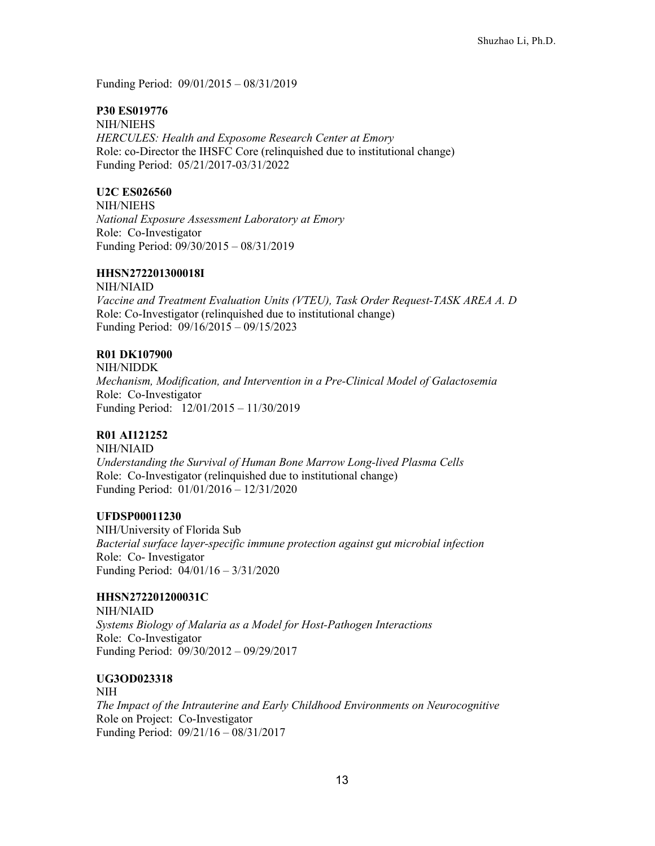Funding Period: 09/01/2015 – 08/31/2019

# **P30 ES019776**

NIH/NIEHS *HERCULES: Health and Exposome Research Center at Emory* Role: co-Director the IHSFC Core (relinquished due to institutional change) Funding Period: 05/21/2017-03/31/2022

# **U2C ES026560**

NIH/NIEHS *National Exposure Assessment Laboratory at Emory* Role: Co-Investigator Funding Period: 09/30/2015 – 08/31/2019

# **HHSN272201300018I**

NIH/NIAID *Vaccine and Treatment Evaluation Units (VTEU), Task Order Request-TASK AREA A. D*  Role: Co-Investigator (relinquished due to institutional change) Funding Period: 09/16/2015 – 09/15/2023

# **R01 DK107900**

NIH/NIDDK *Mechanism, Modification, and Intervention in a Pre-Clinical Model of Galactosemia* Role: Co-Investigator Funding Period: 12/01/2015 – 11/30/2019

# **R01 AI121252**

NIH/NIAID *Understanding the Survival of Human Bone Marrow Long-lived Plasma Cells* Role: Co-Investigator (relinquished due to institutional change) Funding Period: 01/01/2016 – 12/31/2020

# **UFDSP00011230**

NIH/University of Florida Sub *Bacterial surface layer-specific immune protection against gut microbial infection* Role: Co- Investigator Funding Period: 04/01/16 – 3/31/2020

# **HHSN272201200031C**

NIH/NIAID *Systems Biology of Malaria as a Model for Host-Pathogen Interactions* Role: Co-Investigator Funding Period: 09/30/2012 – 09/29/2017

# **UG3OD023318**

NIH *The Impact of the Intrauterine and Early Childhood Environments on Neurocognitive* Role on Project: Co-Investigator Funding Period: 09/21/16 – 08/31/2017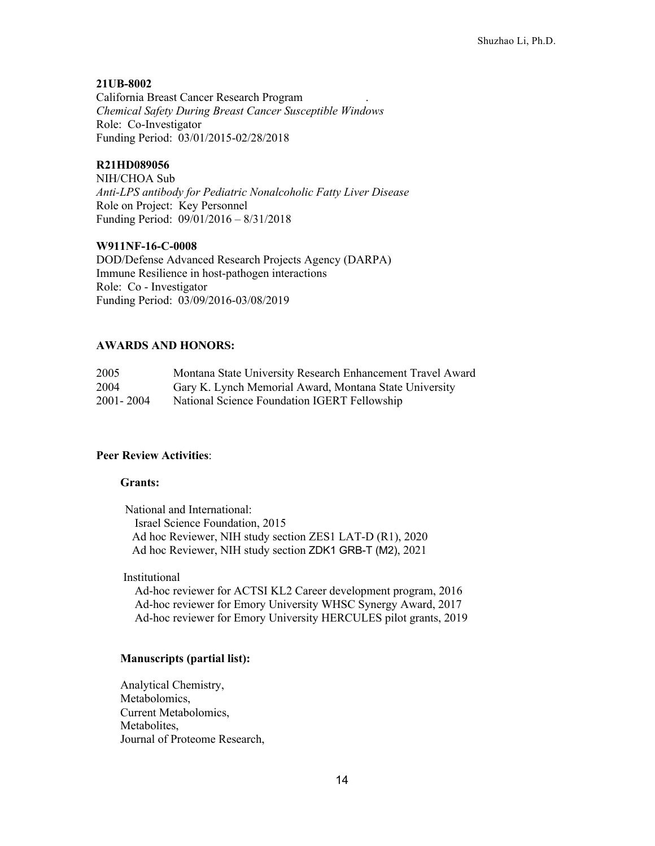#### **21UB-8002**

California Breast Cancer Research Program . *Chemical Safety During Breast Cancer Susceptible Windows* Role: Co-Investigator Funding Period: 03/01/2015-02/28/2018

### **R21HD089056**

NIH/CHOA Sub *Anti-LPS antibody for Pediatric Nonalcoholic Fatty Liver Disease* Role on Project: Key Personnel Funding Period: 09/01/2016 – 8/31/2018

### **W911NF-16-C-0008**

DOD/Defense Advanced Research Projects Agency (DARPA) Immune Resilience in host-pathogen interactions Role: Co - Investigator Funding Period: 03/09/2016-03/08/2019

#### **AWARDS AND HONORS:**

| 2005        | Montana State University Research Enhancement Travel Award |
|-------------|------------------------------------------------------------|
| 2004        | Gary K. Lynch Memorial Award, Montana State University     |
| 2001 - 2004 | National Science Foundation IGERT Fellowship               |

### **Peer Review Activities**:

#### **Grants:**

National and International: Israel Science Foundation, 2015 Ad hoc Reviewer, NIH study section ZES1 LAT-D (R1), 2020 Ad hoc Reviewer, NIH study section ZDK1 GRB-T (M2), 2021

Institutional

Ad-hoc reviewer for ACTSI KL2 Career development program, 2016 Ad-hoc reviewer for Emory University WHSC Synergy Award, 2017 Ad-hoc reviewer for Emory University HERCULES pilot grants, 2019

#### **Manuscripts (partial list):**

Analytical Chemistry, Metabolomics, Current Metabolomics, Metabolites, Journal of Proteome Research,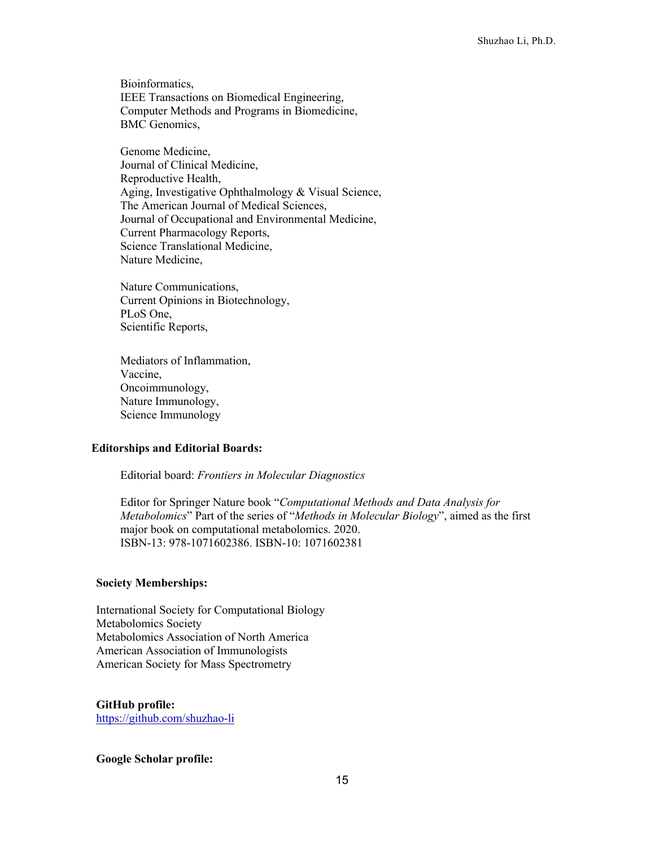Bioinformatics, IEEE Transactions on Biomedical Engineering, Computer Methods and Programs in Biomedicine, BMC Genomics,

Genome Medicine, Journal of Clinical Medicine, Reproductive Health, Aging, Investigative Ophthalmology & Visual Science, The American Journal of Medical Sciences, Journal of Occupational and Environmental Medicine, Current Pharmacology Reports, Science Translational Medicine, Nature Medicine,

Nature Communications, Current Opinions in Biotechnology, PLoS One, Scientific Reports,

Mediators of Inflammation, Vaccine, Oncoimmunology, Nature Immunology, Science Immunology

#### **Editorships and Editorial Boards:**

Editorial board: *Frontiers in Molecular Diagnostics*

Editor for Springer Nature book "*Computational Methods and Data Analysis for Metabolomics*" Part of the series of "*Methods in Molecular Biology*", aimed as the first major book on computational metabolomics. 2020. ISBN-13: 978-1071602386. ISBN-10: 1071602381

#### **Society Memberships:**

International Society for Computational Biology Metabolomics Society Metabolomics Association of North America American Association of Immunologists American Society for Mass Spectrometry

**GitHub profile:**  https://github.com/shuzhao-li

#### **Google Scholar profile:**